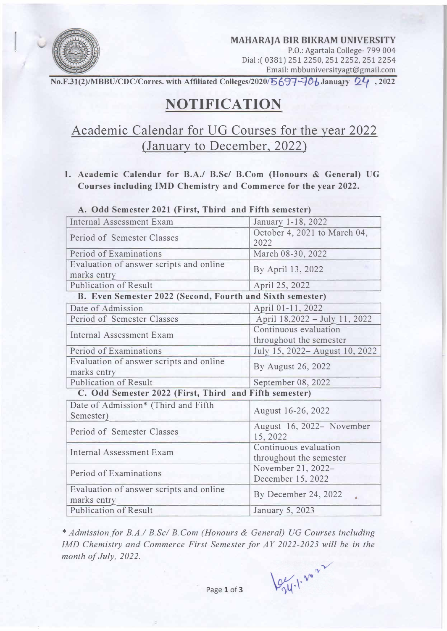

**MAHARAJA BIR BIKRAM UNIVERSITY**  P.O.: Agartala College- 799 004 Dial:( 0381) 251 2250, 251 2252, 251 2254

Email: mbbuniversityagt@gmail.com

No.F.31(2)/MBBU/CDC/Corres. with Affiliated Colleges/2020/5697-706 January  $24$ , 2022

# **NOTIFICATION**

## Academic Calendar for UG Courses for the year 2022 (January to December, 2022)

**1. Academic Calendar for B.A./ B.Sc/ B.Com (Honours & General) UG Courses including IMD Chemistry and Commerce for the year 2022.**

| Internal Assessment Exam                                  | January 1-18, 2022                               |
|-----------------------------------------------------------|--------------------------------------------------|
| Period of Semester Classes                                | October 4, 2021 to March 04,<br>2022             |
| Period of Examinations                                    | March 08-30, 2022                                |
| Evaluation of answer scripts and online<br>marks entry    | By April 13, 2022                                |
| <b>Publication of Result</b>                              | April 25, 2022                                   |
| B. Even Semester 2022 (Second, Fourth and Sixth semester) |                                                  |
| Date of Admission                                         | April 01-11, 2022                                |
| Period of Semester Classes                                | April 18,2022 - July 11, 2022                    |
| <b>Internal Assessment Exam</b>                           | Continuous evaluation                            |
|                                                           | throughout the semester                          |
| Period of Examinations                                    | July 15, 2022 - August 10, 2022                  |
| Evaluation of answer scripts and online<br>marks entry    | By August 26, 2022                               |
| Publication of Result                                     | September 08, 2022                               |
| C. Odd Semester 2022 (First, Third and Fifth semester)    |                                                  |
| Date of Admission* (Third and Fifth<br>Semester)          | August 16-26, 2022                               |
| Period of Semester Classes                                | August 16, 2022– November<br>15, 2022            |
| Internal Assessment Exam                                  | Continuous evaluation<br>throughout the semester |
| Period of Examinations                                    | November 21, 2022-                               |
|                                                           | December 15, 2022                                |
| Evaluation of answer scripts and online<br>marks entry    | By December 24, 2022                             |
| <b>Publication of Result</b>                              | January 5, 2023                                  |

**A. Odd Semester 2021 (First, Third and Fifth semester)**

\* *Admission/or B.A.I B.Scl B.Com (Honours & General) VG Courses including IMD Chemistry and Commerce First Semester for AY 2022-2023 will be in the month of July, 2022.*

 $\log_{10^{-1}} v^{\circ}$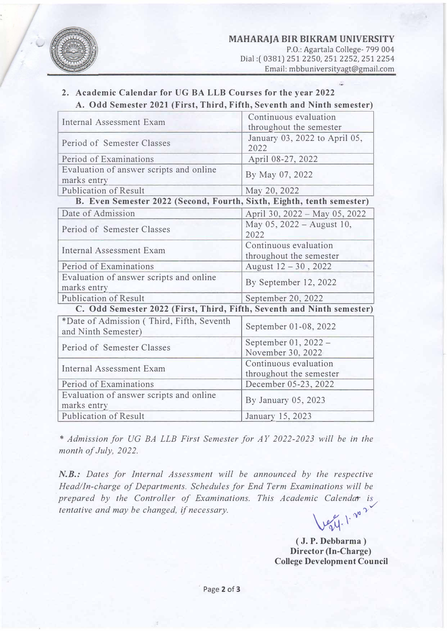

### **2. Academic Calendar for UG BA LLB Courses for the year 2022 A. Odd Semester 2021 (First, Third, Fifth, Seventh and Ninth semester)**

| <b>Internal Assessment Exam</b>                                        | Continuous evaluation         |  |
|------------------------------------------------------------------------|-------------------------------|--|
|                                                                        | throughout the semester       |  |
| Period of Semester Classes                                             | January 03, 2022 to April 05, |  |
|                                                                        | 2022                          |  |
| Period of Examinations                                                 | April 08-27, 2022             |  |
| Evaluation of answer scripts and online                                | By May 07, 2022               |  |
| marks entry                                                            |                               |  |
| <b>Publication of Result</b>                                           | May 20, 2022                  |  |
| B. Even Semester 2022 (Second, Fourth, Sixth, Eighth, tenth semester)  |                               |  |
| Date of Admission                                                      | April 30, 2022 - May 05, 2022 |  |
| Period of Semester Classes                                             | May 05, 2022 - August 10,     |  |
|                                                                        | 2022                          |  |
| <b>Internal Assessment Exam</b>                                        | Continuous evaluation         |  |
|                                                                        | throughout the semester       |  |
| Period of Examinations                                                 | August 12 - 30, 2022          |  |
| Evaluation of answer scripts and online                                | By September 12, 2022         |  |
| marks entry                                                            |                               |  |
| <b>Publication of Result</b>                                           | September 20, 2022            |  |
| C. Odd Semester 2022 (First, Third, Fifth, Seventh and Ninth semester) |                               |  |
| *Date of Admission (Third, Fifth, Seventh                              | September 01-08, 2022         |  |
| and Ninth Semester)                                                    |                               |  |
| Period of Semester Classes                                             | September 01, 2022 -          |  |
|                                                                        | November 30, 2022             |  |
| Internal Assessment Exam                                               | Continuous evaluation         |  |
|                                                                        | throughout the semester       |  |
| Period of Examinations                                                 | December 05-23, 2022          |  |
| Evaluation of answer scripts and online                                | By January 05, 2023           |  |
| marks entry                                                            |                               |  |
| <b>Publication of Result</b>                                           | January 15, 2023              |  |

\* *Admission for UG BA LLB First Semester for AY 2022-2023 will be in the month of July, 2022.*

*N.B.: Dates for Internal Assessment will be announced by the respective Head/In-charge of Departments. Schedules for End Term Examinations will be* prepared by the Controller of Examinations. This Academic Calendar is *tentative and may be changed, if necessary.*  $\bigvee \mathcal{C}_{\mathcal{V}} \mathcal{U}$ .  $\mathcal{V}^{\mathcal{V}}$ 

> **( J. P. Debbarma ) Director (In-Charge) College Development Council**